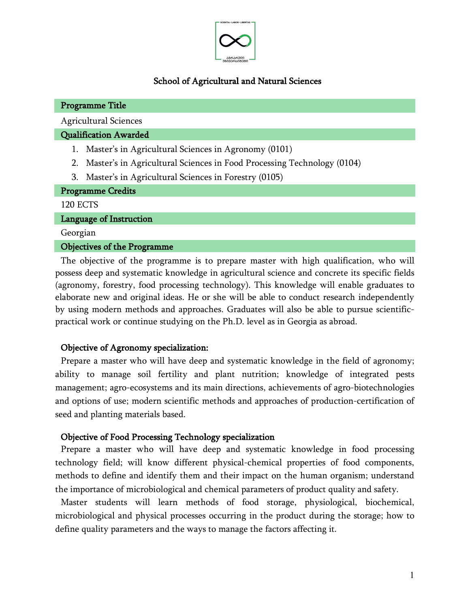

# School of Agricultural and Natural Sciences

| <b>Programme Title</b>                                                                                                                                                                                                                                                             |
|------------------------------------------------------------------------------------------------------------------------------------------------------------------------------------------------------------------------------------------------------------------------------------|
| <b>Agricultural Sciences</b>                                                                                                                                                                                                                                                       |
| <b>Qualification Awarded</b>                                                                                                                                                                                                                                                       |
| Master's in Agricultural Sciences in Agronomy (0101)<br>$\mathbf{I}$ .                                                                                                                                                                                                             |
| Master's in Agricultural Sciences in Food Processing Technology (0104)<br>2.                                                                                                                                                                                                       |
| Master's in Agricultural Sciences in Forestry (0105)<br>3.                                                                                                                                                                                                                         |
| <b>Programme Credits</b>                                                                                                                                                                                                                                                           |
| 120 ECTS                                                                                                                                                                                                                                                                           |
| <b>Language of Instruction</b>                                                                                                                                                                                                                                                     |
| Georgian                                                                                                                                                                                                                                                                           |
| <b>Objectives of the Programme</b>                                                                                                                                                                                                                                                 |
| The objective of the programme is to prepare master with high qualification, who will<br>possess deep and systematic knowledge in agricultural science and concrete its specific fields<br>(garanomy forestry food processing technology). This knowledge will enable graduates to |

(agronomy, forestry, food processing technology). This knowledge will enable graduates to elaborate new and original ideas. He or she will be able to conduct research independently by using modern methods and approaches. Graduates will also be able to pursue scientificpractical work or continue studying on the Ph.D. level as in Georgia as abroad.

# Objective of Agronomy specialization:

Prepare a master who will have deep and systematic knowledge in the field of agronomy; ability to manage soil fertility and plant nutrition; knowledge of integrated pests management; agro-ecosystems and its main directions, achievements of agro-biotechnologies and options of use; modern scientific methods and approaches of production-certification of seed and planting materials based.

#### Objective of Food Processing Technology specialization

Prepare a master who will have deep and systematic knowledge in food processing technology field; will know different physical-chemical properties of food components, methods to define and identify them and their impact on the human organism; understand the importance of microbiological and chemical parameters of product quality and safety.

Master students will learn methods of food storage, physiological, biochemical, microbiological and physical processes occurring in the product during the storage; how to define quality parameters and the ways to manage the factors affecting it.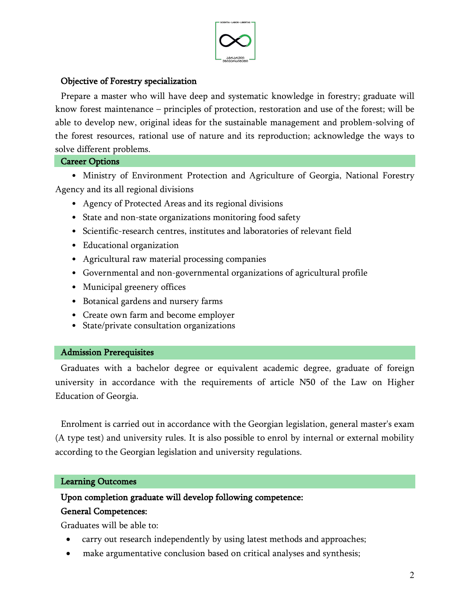

## Objective of Forestry specialization

Prepare a master who will have deep and systematic knowledge in forestry; graduate will know forest maintenance – principles of protection, restoration and use of the forest; will be able to develop new, original ideas for the sustainable management and problem-solving of the forest resources, rational use of nature and its reproduction; acknowledge the ways to solve different problems.

#### Career Options

• Ministry of Environment Protection and Agriculture of Georgia, National Forestry Agency and its all regional divisions

- Agency of Protected Areas and its regional divisions
- State and non-state organizations monitoring food safety
- Scientific-research centres, institutes and laboratories of relevant field
- Educational organization
- Agricultural raw material processing companies
- Governmental and non-governmental organizations of agricultural profile
- Municipal greenery offices
- Botanical gardens and nursery farms
- Create own farm and become employer
- State/private consultation organizations

#### Admission Prerequisites

Graduates with a bachelor degree or equivalent academic degree, graduate of foreign university in accordance with the requirements of article N50 of the Law on Higher Education of Georgia.

Enrolment is carried out in accordance with the Georgian legislation, general master's exam (A type test) and university rules. It is also possible to enrol by internal or external mobility according to the Georgian legislation and university regulations.

#### Learning Outcomes

# Upon completion graduate will develop following competence:

#### General Competences:

Graduates will be able to:

- carry out research independently by using latest methods and approaches;
- make argumentative conclusion based on critical analyses and synthesis;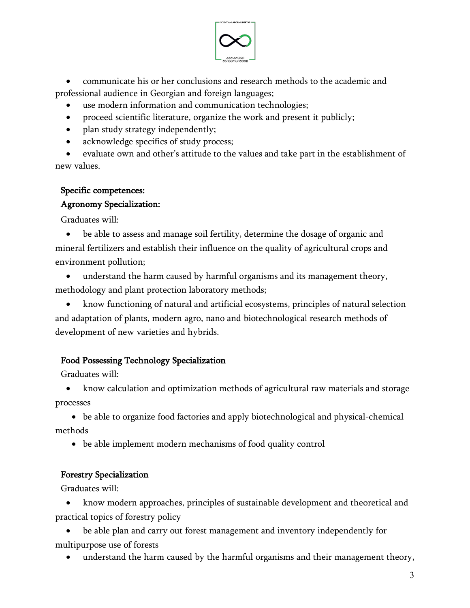

• communicate his or her conclusions and research methods to the academic and professional audience in Georgian and foreign languages;

- use modern information and communication technologies;
- proceed scientific literature, organize the work and present it publicly;
- plan study strategy independently;
- acknowledge specifics of study process;

• evaluate own and other's attitude to the values and take part in the establishment of new values.

#### Specific competences:

## Agronomy Specialization:

Graduates will:

• be able to assess and manage soil fertility, determine the dosage of organic and mineral fertilizers and establish their influence on the quality of agricultural crops and environment pollution;

• understand the harm caused by harmful organisms and its management theory, methodology and plant protection laboratory methods;

• know functioning of natural and artificial ecosystems, principles of natural selection and adaptation of plants, modern agro, nano and biotechnological research methods of development of new varieties and hybrids.

#### Food Possessing Technology Specialization

Graduates will:

• know calculation and optimization methods of agricultural raw materials and storage processes

• be able to organize food factories and apply biotechnological and physical-chemical methods

• be able implement modern mechanisms of food quality control

#### Forestry Specialization

Graduates will:

• know modern approaches, principles of sustainable development and theoretical and practical topics of forestry policy

be able plan and carry out forest management and inventory independently for multipurpose use of forests

• understand the harm caused by the harmful organisms and their management theory,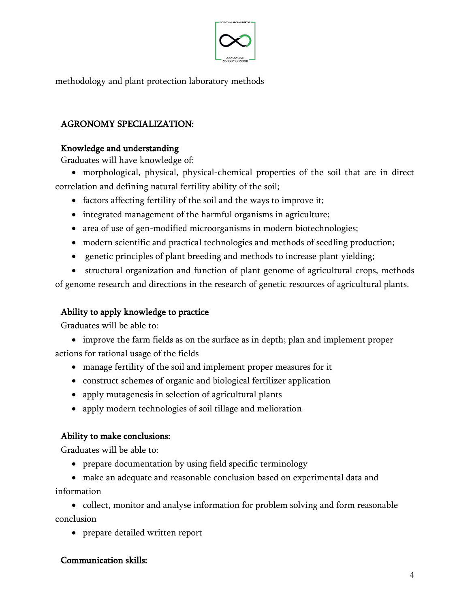

methodology and plant protection laboratory methods

# AGRONOMY SPECIALIZATION:

## Knowledge and understanding

Graduates will have knowledge of:

• morphological, physical, physical-chemical properties of the soil that are in direct correlation and defining natural fertility ability of the soil;

- factors affecting fertility of the soil and the ways to improve it;
- integrated management of the harmful organisms in agriculture;
- area of use of gen-modified microorganisms in modern biotechnologies;
- modern scientific and practical technologies and methods of seedling production;
- genetic principles of plant breeding and methods to increase plant yielding;

• structural organization and function of plant genome of agricultural crops, methods of genome research and directions in the research of genetic resources of agricultural plants.

# Ability to apply knowledge to practice

Graduates will be able to:

• improve the farm fields as on the surface as in depth; plan and implement proper

actions for rational usage of the fields

- manage fertility of the soil and implement proper measures for it
- construct schemes of organic and biological fertilizer application
- apply mutagenesis in selection of agricultural plants
- apply modern technologies of soil tillage and melioration

# Ability to make conclusions:

Graduates will be able to:

- prepare documentation by using field specific terminology
- make an adequate and reasonable conclusion based on experimental data and

# information

• collect, monitor and analyse information for problem solving and form reasonable conclusion

• prepare detailed written report

# Communication skills: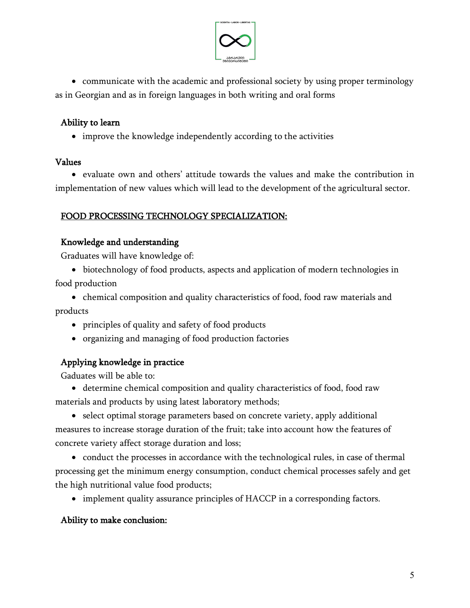

• communicate with the academic and professional society by using proper terminology as in Georgian and as in foreign languages in both writing and oral forms

## Ability to learn

• improve the knowledge independently according to the activities

#### Values

• evaluate own and others' attitude towards the values and make the contribution in implementation of new values which will lead to the development of the agricultural sector.

## FOOD PROCESSING TECHNOLOGY SPECIALIZATION:

#### Knowledge and understanding

Graduates will have knowledge of:

• biotechnology of food products, aspects and application of modern technologies in food production

• chemical composition and quality characteristics of food, food raw materials and products

- principles of quality and safety of food products
- organizing and managing of food production factories

# Applying knowledge in practice

Gaduates will be able to:

• determine chemical composition and quality characteristics of food, food raw materials and products by using latest laboratory methods;

• select optimal storage parameters based on concrete variety, apply additional measures to increase storage duration of the fruit; take into account how the features of concrete variety affect storage duration and loss;

• conduct the processes in accordance with the technological rules, in case of thermal processing get the minimum energy consumption, conduct chemical processes safely and get the high nutritional value food products;

• implement quality assurance principles of HACCP in a corresponding factors.

#### Ability to make conclusion: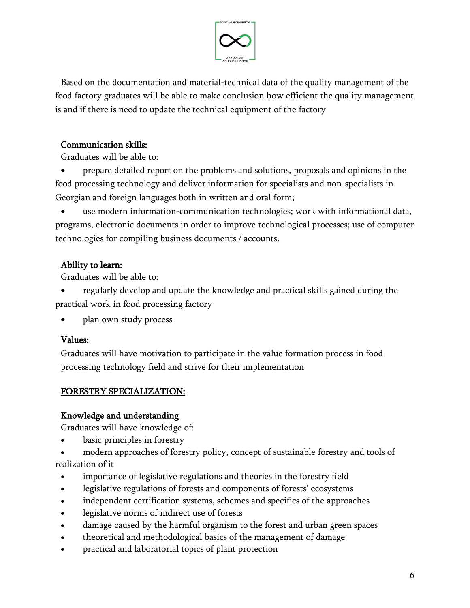

Based on the documentation and material-technical data of the quality management of the food factory graduates will be able to make conclusion how efficient the quality management is and if there is need to update the technical equipment of the factory

# Communication skills:

Graduates will be able to:

• prepare detailed report on the problems and solutions, proposals and opinions in the food processing technology and deliver information for specialists and non-specialists in Georgian and foreign languages both in written and oral form;

use modern information-communication technologies; work with informational data, programs, electronic documents in order to improve technological processes; use of computer technologies for compiling business documents / accounts.

# Ability to learn:

Graduates will be able to:

• regularly develop and update the knowledge and practical skills gained during the practical work in food processing factory

• plan own study process

# Values:

Graduates will have motivation to participate in the value formation process in food processing technology field and strive for their implementation

# FORESTRY SPECIALIZATION:

# Knowledge and understanding

Graduates will have knowledge of:

basic principles in forestry

modern approaches of forestry policy, concept of sustainable forestry and tools of realization of it

- importance of legislative regulations and theories in the forestry field
- legislative regulations of forests and components of forests' ecosystems
- independent certification systems, schemes and specifics of the approaches
- legislative norms of indirect use of forests
- damage caused by the harmful organism to the forest and urban green spaces
- theoretical and methodological basics of the management of damage
- practical and laboratorial topics of plant protection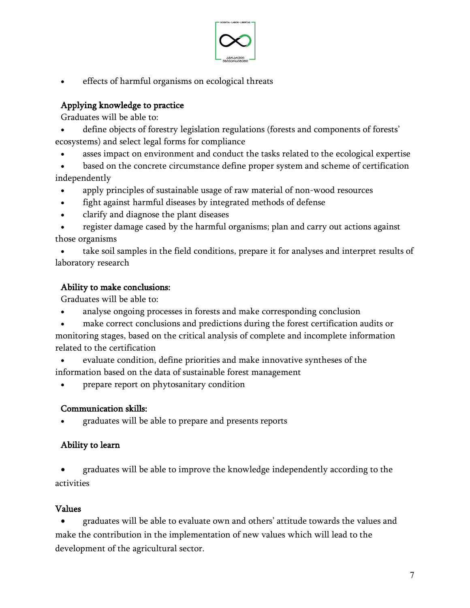

• effects of harmful organisms on ecological threats

# Applying knowledge to practice

Graduates will be able to:

define objects of forestry legislation regulations (forests and components of forests' ecosystems) and select legal forms for compliance

asses impact on environment and conduct the tasks related to the ecological expertise

based on the concrete circumstance define proper system and scheme of certification independently

- apply principles of sustainable usage of raw material of non-wood resources
- fight against harmful diseases by integrated methods of defense
- clarify and diagnose the plant diseases

• register damage cased by the harmful organisms; plan and carry out actions against those organisms

take soil samples in the field conditions, prepare it for analyses and interpret results of laboratory research

# Ability to make conclusions:

Graduates will be able to:

• analyse ongoing processes in forests and make corresponding conclusion

make correct conclusions and predictions during the forest certification audits or monitoring stages, based on the critical analysis of complete and incomplete information related to the certification

• evaluate condition, define priorities and make innovative syntheses of the information based on the data of sustainable forest management

prepare report on phytosanitary condition

# Communication skills:

• graduates will be able to prepare and presents reports

# Ability to learn

• graduates will be able to improve the knowledge independently according to the activities

# Values

• graduates will be able to evaluate own and others' attitude towards the values and make the contribution in the implementation of new values which will lead to the development of the agricultural sector.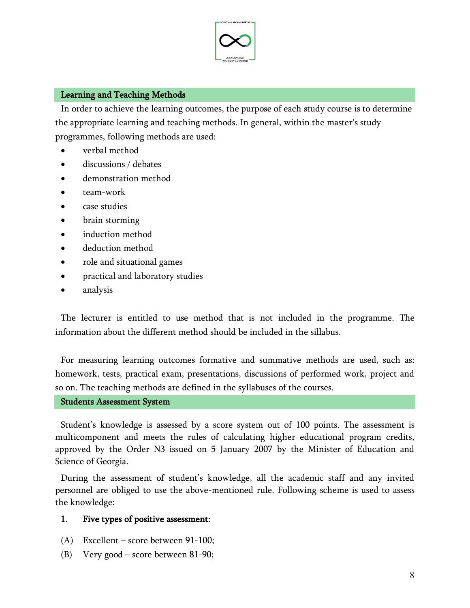

#### Learning and Teaching Methods

In order to achieve the learning outcomes, the purpose of each study course is to determine the appropriate learning and teaching methods. In general, within the master's study programmes, following methods are used:

- verbal method
- discussions / debates
- demonstration method
- team-work
- case studies
- brain storming
- induction method
- deduction method
- role and situational games
- practical and laboratory studies
- analysis

The lecturer is entitled to use method that is not included in the programme. The information about the different method should be included in the sillabus.

For measuring learning outcomes formative and summative methods are used, such as: homework, tests, practical exam, presentations, discussions of performed work, project and so on. The teaching methods are defined in the syllabuses of the courses.

#### Students Assessment System

Student's knowledge is assessed by a score system out of 100 points. The assessment is multicomponent and meets the rules of calculating higher educational program credits, approved by the Order N3 issued on 5 January 2007 by the Minister of Education and Science of Georgia.

During the assessment of student's knowledge, all the academic staff and any invited personnel are obliged to use the above-mentioned rule. Following scheme is used to assess the knowledge:

#### 1. Five types of positive assessment:

- (A) Excellent score between 91-100;
- (B) Very good score between 81-90;